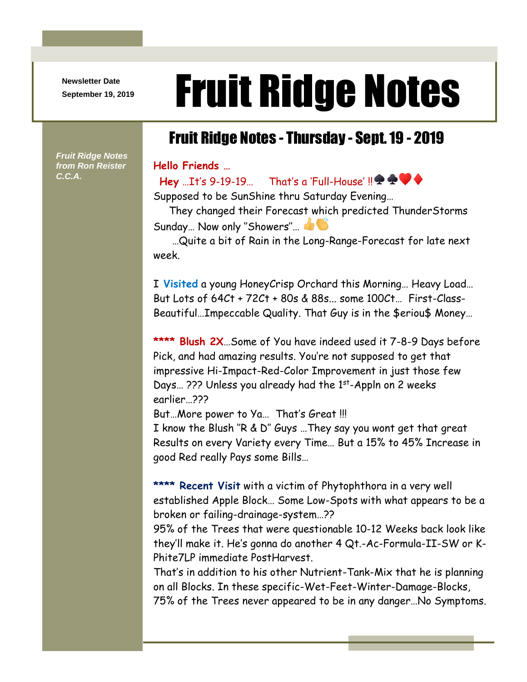**Newsletter Date**

## Newsletter Date **Fruit Ridge Notes**

## Fruit Ridge Notes - Thursday - Sept. 19 - 2019

**Hello Friends …**

**Hey** …It's 9-19-19… That's a 'Full-House' !! **\* \* ▼** 

Supposed to be SunShine thru Saturday Evening…

 They changed their Forecast which predicted ThunderStorms Sunday... Now only "Showers"...

 …Quite a bit of Rain in the Long-Range-Forecast for late next week.

I **Visited** a young HoneyCrisp Orchard this Morning… Heavy Load… But Lots of 64Ct + 72Ct + 80s & 88s... some 100Ct… First-Class-Beautiful…Impeccable Quality. That Guy is in the \$eriou\$ Money…

**\*\*\*\* Blush 2X**…Some of You have indeed used it 7-8-9 Days before Pick, and had amazing results. You're not supposed to get that impressive Hi-Impact-Red-Color Improvement in just those few Days... ??? Unless you already had the 1st-Appln on 2 weeks earlier…???

But…More power to Ya… That's Great !!!

I know the Blush ''R & D'' Guys …They say you wont get that great Results on every Variety every Time… But a 15% to 45% Increase in good Red really Pays some Bills…

**\*\*\*\* Recent Visit** with a victim of Phytophthora in a very well established Apple Block… Some Low-Spots with what appears to be a broken or failing-drainage-system…??

95% of the Trees that were questionable 10-12 Weeks back look like they'll make it. He's gonna do another 4 Qt.-Ac-Formula-II-SW or K-Phite7LP immediate PostHarvest.

That's in addition to his other Nutrient-Tank-Mix that he is planning on all Blocks. In these specific-Wet-Feet-Winter-Damage-Blocks, 75% of the Trees never appeared to be in any danger…No Symptoms.

*Fruit Ridge Notes from Ron Reister C.C.A.*